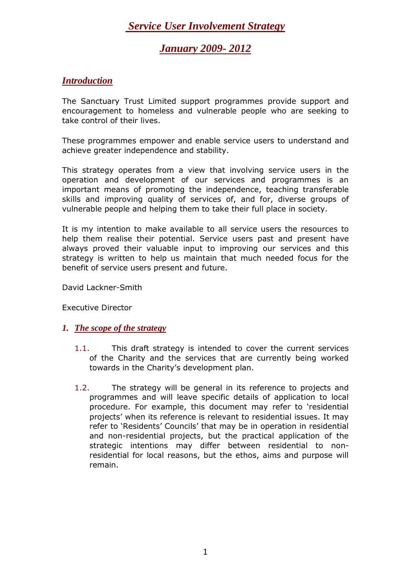## *January 2009- 2012*

### *Introduction*

The Sanctuary Trust Limited support programmes provide support and encouragement to homeless and vulnerable people who are seeking to take control of their lives.

These programmes empower and enable service users to understand and achieve greater independence and stability.

This strategy operates from a view that involving service users in the operation and development of our services and programmes is an important means of promoting the independence, teaching transferable skills and improving quality of services of, and for, diverse groups of vulnerable people and helping them to take their full place in society.

It is my intention to make available to all service users the resources to help them realise their potential. Service users past and present have always proved their valuable input to improving our services and this strategy is written to help us maintain that much needed focus for the benefit of service users present and future.

David Lackner-Smith

Executive Director

#### *1. The scope of the strategy*

- 1.1. This draft strategy is intended to cover the current services of the Charity and the services that are currently being worked towards in the Charity's development plan.
- 1.2. The strategy will be general in its reference to projects and programmes and will leave specific details of application to local procedure. For example, this document may refer to 'residential projects' when its reference is relevant to residential issues. It may refer to 'Residents' Councils' that may be in operation in residential and non-residential projects, but the practical application of the strategic intentions may differ between residential to nonresidential for local reasons, but the ethos, aims and purpose will remain.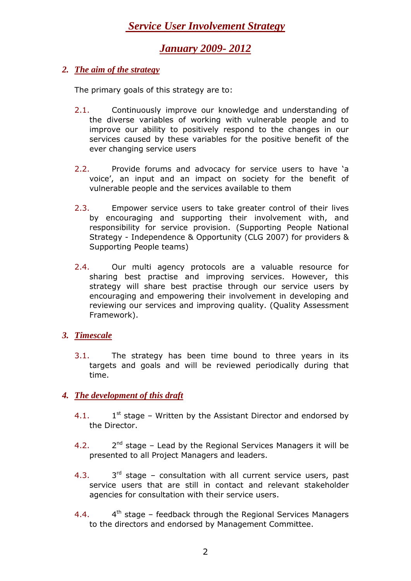## *January 2009- 2012*

### *2. The aim of the strategy*

The primary goals of this strategy are to:

- 2.1. Continuously improve our knowledge and understanding of the diverse variables of working with vulnerable people and to improve our ability to positively respond to the changes in our services caused by these variables for the positive benefit of the ever changing service users
- 2.2. Provide forums and advocacy for service users to have 'a voice', an input and an impact on society for the benefit of vulnerable people and the services available to them
- 2.3. Empower service users to take greater control of their lives by encouraging and supporting their involvement with, and responsibility for service provision. (Supporting People National Strategy - Independence & Opportunity (CLG 2007) for providers & Supporting People teams)
- 2.4. Our multi agency protocols are a valuable resource for sharing best practise and improving services. However, this strategy will share best practise through our service users by encouraging and empowering their involvement in developing and reviewing our services and improving quality. (Quality Assessment Framework).

### *3. Timescale*

3.1. The strategy has been time bound to three years in its targets and goals and will be reviewed periodically during that time.

### *4. The development of this draft*

- $4.1.$  $1<sup>st</sup>$  stage – Written by the Assistant Director and endorsed by the Director.
- $4.2.$  $2^{nd}$  stage – Lead by the Regional Services Managers it will be presented to all Project Managers and leaders.
- $4.3.$  $3<sup>rd</sup>$  stage – consultation with all current service users, past service users that are still in contact and relevant stakeholder agencies for consultation with their service users.
- $4.4.$  $4<sup>th</sup>$  stage – feedback through the Regional Services Managers to the directors and endorsed by Management Committee.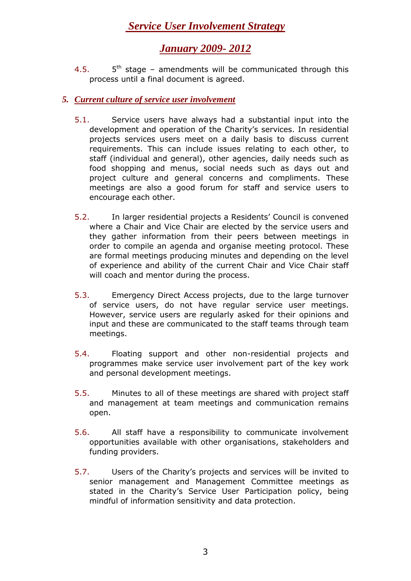# *January 2009- 2012*

 $4.5.$  $5<sup>th</sup>$  stage – amendments will be communicated through this process until a final document is agreed.

### *5. Current culture of service user involvement*

- 5.1. Service users have always had a substantial input into the development and operation of the Charity's services. In residential projects services users meet on a daily basis to discuss current requirements. This can include issues relating to each other, to staff (individual and general), other agencies, daily needs such as food shopping and menus, social needs such as days out and project culture and general concerns and compliments. These meetings are also a good forum for staff and service users to encourage each other.
- 5.2. In larger residential projects a Residents' Council is convened where a Chair and Vice Chair are elected by the service users and they gather information from their peers between meetings in order to compile an agenda and organise meeting protocol. These are formal meetings producing minutes and depending on the level of experience and ability of the current Chair and Vice Chair staff will coach and mentor during the process.
- 5.3. Emergency Direct Access projects, due to the large turnover of service users, do not have regular service user meetings. However, service users are regularly asked for their opinions and input and these are communicated to the staff teams through team meetings.
- 5.4. Floating support and other non-residential projects and programmes make service user involvement part of the key work and personal development meetings.
- 5.5. Minutes to all of these meetings are shared with project staff and management at team meetings and communication remains open.
- 5.6. All staff have a responsibility to communicate involvement opportunities available with other organisations, stakeholders and funding providers.
- 5.7. Users of the Charity's projects and services will be invited to senior management and Management Committee meetings as stated in the Charity's Service User Participation policy, being mindful of information sensitivity and data protection.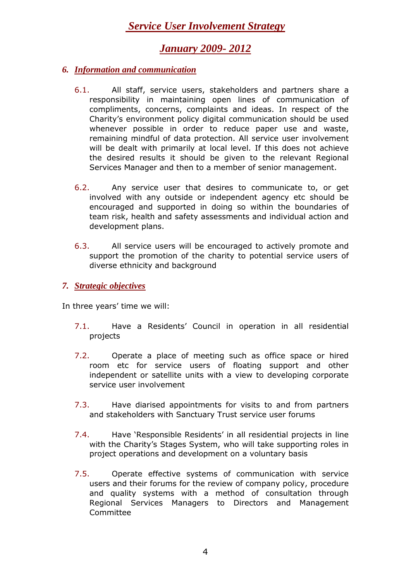## *January 2009- 2012*

- *6. Information and communication*
	- 6.1. All staff, service users, stakeholders and partners share a responsibility in maintaining open lines of communication of compliments, concerns, complaints and ideas. In respect of the Charity's environment policy digital communication should be used whenever possible in order to reduce paper use and waste, remaining mindful of data protection. All service user involvement will be dealt with primarily at local level. If this does not achieve the desired results it should be given to the relevant Regional Services Manager and then to a member of senior management.
	- 6.2. Any service user that desires to communicate to, or get involved with any outside or independent agency etc should be encouraged and supported in doing so within the boundaries of team risk, health and safety assessments and individual action and development plans.
	- 6.3. All service users will be encouraged to actively promote and support the promotion of the charity to potential service users of diverse ethnicity and background
- *7. Strategic objectives*

In three years' time we will:

- 7.1. Have a Residents' Council in operation in all residential projects
- 7.2. Operate a place of meeting such as office space or hired room etc for service users of floating support and other independent or satellite units with a view to developing corporate service user involvement
- 7.3. Have diarised appointments for visits to and from partners and stakeholders with Sanctuary Trust service user forums
- 7.4. Have 'Responsible Residents' in all residential projects in line with the Charity's Stages System, who will take supporting roles in project operations and development on a voluntary basis
- 7.5. Operate effective systems of communication with service users and their forums for the review of company policy, procedure and quality systems with a method of consultation through Regional Services Managers to Directors and Management Committee